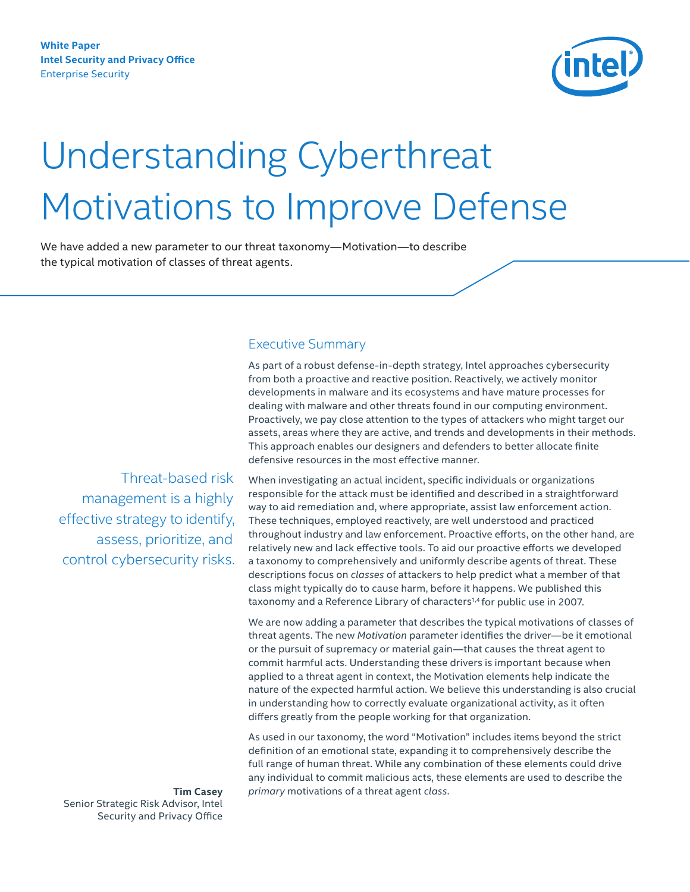

# <span id="page-0-0"></span>Understanding Cyberthreat Motivations to Improve Defense

We have added a new parameter to our threat taxonomy—Motivation—to describe the typical motivation of classes of threat agents.

# Executive Summary

As part of a robust defense-in-depth strategy, Intel approaches cybersecurity from both a proactive and reactive position. Reactively, we actively monitor developments in malware and its ecosystems and have mature processes for dealing with malware and other threats found in our computing environment. Proactively, we pay close attention to the types of attackers who might target our assets, areas where they are active, and trends and developments in their methods. This approach enables our designers and defenders to better allocate finite defensive resources in the most effective manner.

Threat-based risk management is a highly effective strategy to identify, assess, prioritize, and control cybersecurity risks.

When investigating an actual incident, specific individuals or organizations responsible for the attack must be identified and described in a straightforward way to aid remediation and, where appropriate, assist law enforcement action. These techniques, employed reactively, are well understood and practiced throughout industry and law enforcement. Proactive efforts, on the other hand, are relatively new and lack effective tools. To aid our proactive efforts we developed a taxonomy to comprehensively and uniformly describe agents of threat. These descriptions focus on *classes* of attackers to help predict what a member of that class might typically do to cause harm, before it happens. We published this taxonomy and a Reference Library of characters<sup>[1,4](#page-8-0)</sup> for public use in 2007.

We are now adding a parameter that describes the typical motivations of classes of threat agents. The new *Motivation* parameter identifies the driver—be it emotional or the pursuit of supremacy or material gain—that causes the threat agent to commit harmful acts. Understanding these drivers is important because when applied to a threat agent in context, the Motivation elements help indicate the nature of the expected harmful action. We believe this understanding is also crucial in understanding how to correctly evaluate organizational activity, as it often differs greatly from the people working for that organization.

As used in our taxonomy, the word "Motivation" includes items beyond the strict definition of an emotional state, expanding it to comprehensively describe the full range of human threat. While any combination of these elements could drive any individual to commit malicious acts, these elements are used to describe the *primary* motivations of a threat agent *class*.

**Tim Casey**  Senior Strategic Risk Advisor, Intel Security and Privacy Office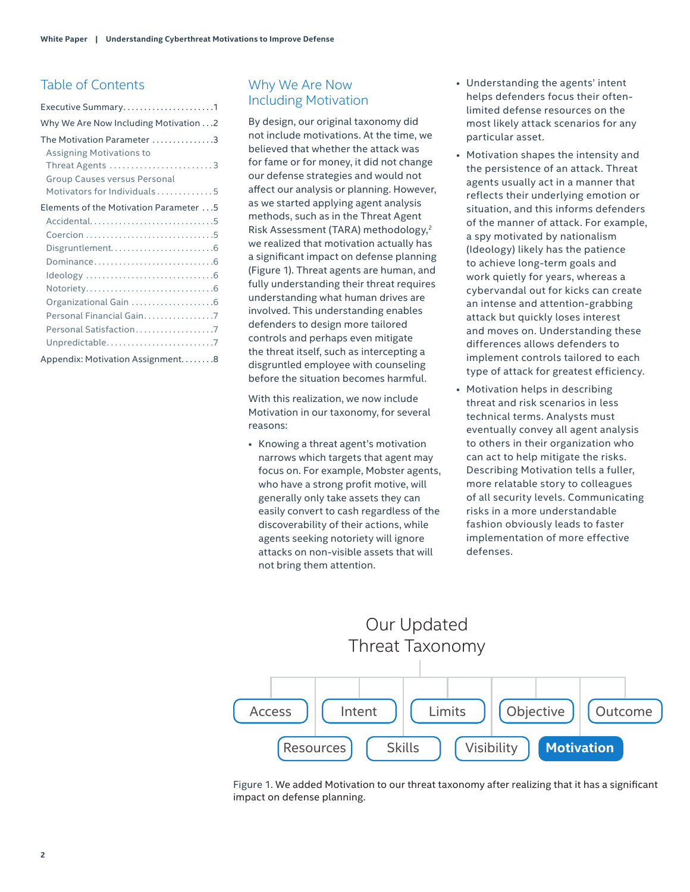# Table of Contents

| Executive Summary1                      |  |  |  |  |  |
|-----------------------------------------|--|--|--|--|--|
| Why We Are Now Including Motivation 2   |  |  |  |  |  |
| The Motivation Parameter 3              |  |  |  |  |  |
| <b>Assigning Motivations to</b>         |  |  |  |  |  |
| Threat Agents 3                         |  |  |  |  |  |
| <b>Group Causes versus Personal</b>     |  |  |  |  |  |
| Motivators for Individuals 5            |  |  |  |  |  |
| Elements of the Motivation Parameter  5 |  |  |  |  |  |
| Accidental5                             |  |  |  |  |  |
|                                         |  |  |  |  |  |
|                                         |  |  |  |  |  |
|                                         |  |  |  |  |  |
|                                         |  |  |  |  |  |
|                                         |  |  |  |  |  |
|                                         |  |  |  |  |  |
| Personal Financial Gain7                |  |  |  |  |  |
| Personal Satisfaction7                  |  |  |  |  |  |
| Unpredictable7                          |  |  |  |  |  |
| Appendix: Motivation Assignment8        |  |  |  |  |  |

# Why We Are Now Including Motivation

By design, our original taxonomy did not include motivations. At the time, we believed that whether the attack was for fame or for money, it did not change our defense strategies and would not affect our analysis or planning. However, as we started applying agent analysis methods, such as in the Threat Agent Risk Assessment (TARA) methodology[,2](#page-8-1) we realized that motivation actually has a significant impact on defense planning (Figure 1). Threat agents are human, and fully understanding their threat requires understanding what human drives are involved. This understanding enables defenders to design more tailored controls and perhaps even mitigate the threat itself, such as intercepting a disgruntled employee with counseling before the situation becomes harmful.

With this realization, we now include Motivation in our taxonomy, for several reasons:

• Knowing a threat agent's motivation narrows which targets that agent may focus on. For example, Mobster agents, who have a strong profit motive, will generally only take assets they can easily convert to cash regardless of the discoverability of their actions, while agents seeking notoriety will ignore attacks on non-visible assets that will not bring them attention.

- Understanding the agents' intent helps defenders focus their oftenlimited defense resources on the most likely attack scenarios for any particular asset.
- Motivation shapes the intensity and the persistence of an attack. Threat agents usually act in a manner that reflects their underlying emotion or situation, and this informs defenders of the manner of attack. For example, a spy motivated by nationalism (Ideology) likely has the patience to achieve long-term goals and work quietly for years, whereas a cybervandal out for kicks can create an intense and attention-grabbing attack but quickly loses interest and moves on. Understanding these differences allows defenders to implement controls tailored to each type of attack for greatest efficiency.
- Motivation helps in describing threat and risk scenarios in less technical terms. Analysts must eventually convey all agent analysis to others in their organization who can act to help mitigate the risks. Describing Motivation tells a fuller, more relatable story to colleagues of all security levels. Communicating risks in a more understandable fashion obviously leads to faster implementation of more effective defenses.

# Our Updated Threat Taxonomy



Figure 1. We added Motivation to our threat taxonomy after realizing that it has a significant impact on defense planning.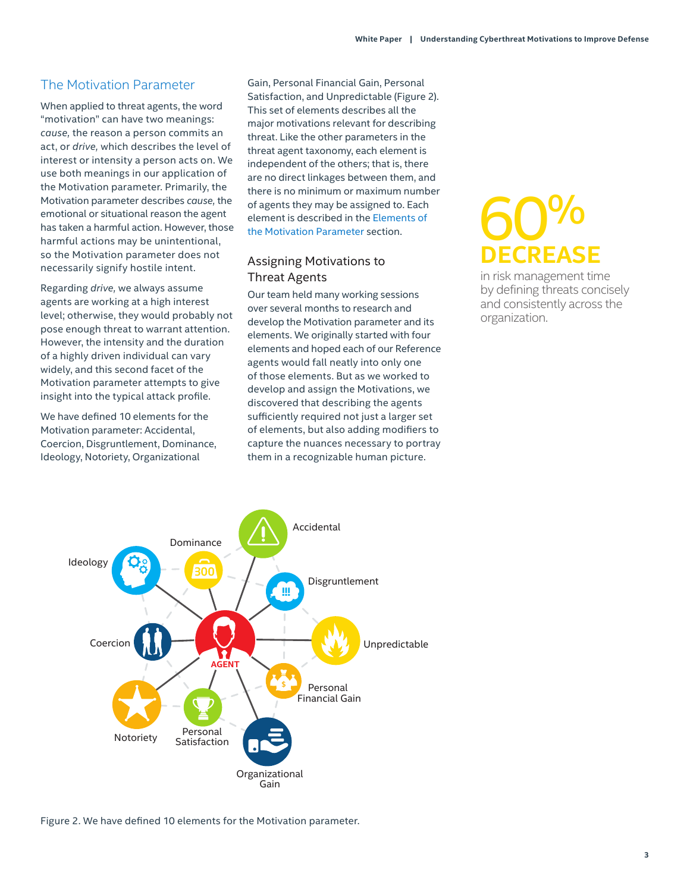# <span id="page-2-0"></span>The Motivation Parameter

When applied to threat agents, the word "motivation" can have two meanings: *cause,* the reason a person commits an act, or *drive,* which describes the level of interest or intensity a person acts on. We use both meanings in our application of the Motivation parameter. Primarily, the Motivation parameter describes *cause,* the emotional or situational reason the agent has taken a harmful action. However, those harmful actions may be unintentional, so the Motivation parameter does not necessarily signify hostile intent.

Regarding *drive,* we always assume agents are working at a high interest level; otherwise, they would probably not pose enough threat to warrant attention. However, the intensity and the duration of a highly driven individual can vary widely, and this second facet of the Motivation parameter attempts to give insight into the typical attack profile.

We have defined 10 elements for the Motivation parameter: Accidental, Coercion, Disgruntlement, Dominance, Ideology, Notoriety, Organizational

Gain, Personal Financial Gain, Personal Satisfaction, and Unpredictable (Figure 2). This set of elements describes all the major motivations relevant for describing threat. Like the other parameters in the threat agent taxonomy, each element is independent of the others; that is, there are no direct linkages between them, and there is no minimum or maximum number of agents they may be assigned to. Each element is described in the [Elements of](#page-4-1)  [the Motivation](#page-4-1) Parameter section.

# <span id="page-2-1"></span>Assigning Motivations to Threat Agents

Our team held many working sessions over several months to research and develop the Motivation parameter and its elements. We originally started with four elements and hoped each of our Reference agents would fall neatly into only one of those elements. But as we worked to develop and assign the Motivations, we discovered that describing the agents sufficiently required not just a larger set of elements, but also adding modifiers to capture the nuances necessary to portray them in a recognizable human picture.

# 60% **DECREASE**

in risk management time by defining threats concisely and consistently across the organization.



Figure 2. We have defined 10 elements for the Motivation parameter.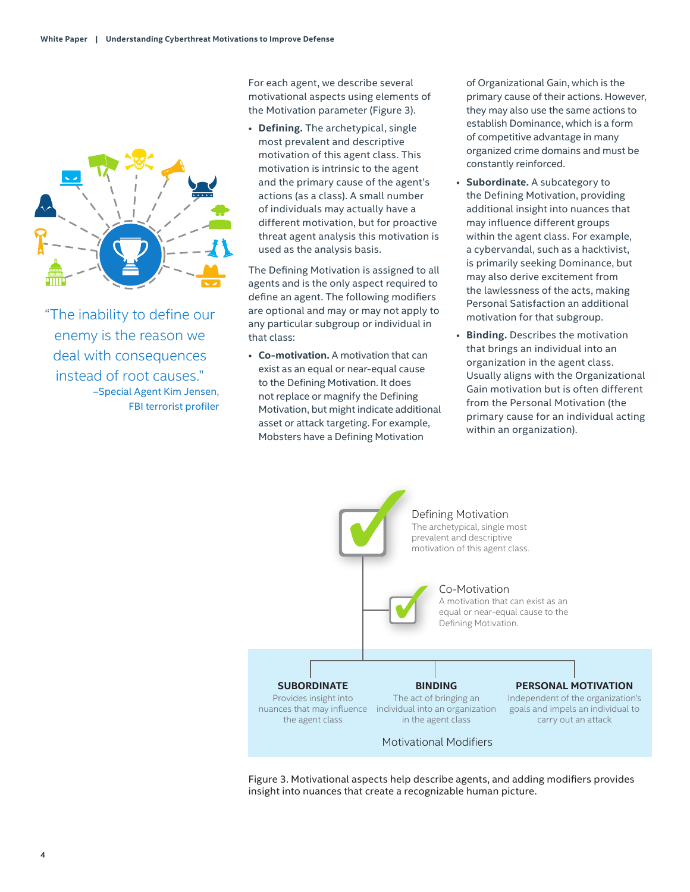

"The inability to define our enemy is the reason we deal with consequences instead of root causes." –Special Agent Kim Jensen, FBI terrorist profiler For each agent, we describe several motivational aspects using elements of the Motivation parameter (Figure 3).

• **Defining.** The archetypical, single most prevalent and descriptive motivation of this agent class. This motivation is intrinsic to the agent and the primary cause of the agent's actions (as a class). A small number of individuals may actually have a different motivation, but for proactive threat agent analysis this motivation is used as the analysis basis.

The Defining Motivation is assigned to all agents and is the only aspect required to define an agent. The following modifiers are optional and may or may not apply to any particular subgroup or individual in that class:

• **Co-motivation.** A motivation that can exist as an equal or near-equal cause to the Defining Motivation. It does not replace or magnify the Defining Motivation, but might indicate additional asset or attack targeting. For example, Mobsters have a Defining Motivation

of Organizational Gain, which is the primary cause of their actions. However, they may also use the same actions to establish Dominance, which is a form of competitive advantage in many organized crime domains and must be constantly reinforced.

- **Subordinate.** A subcategory to the Defining Motivation, providing additional insight into nuances that may influence different groups within the agent class. For example, a cybervandal, such as a hacktivist, is primarily seeking Dominance, but may also derive excitement from the lawlessness of the acts, making Personal Satisfaction an additional motivation for that subgroup.
- **Binding.** Describes the motivation that brings an individual into an organization in the agent class. Usually aligns with the Organizational Gain motivation but is often different from the Personal Motivation (the primary cause for an individual acting within an organization).



Figure 3. Motivational aspects help describe agents, and adding modifiers provides insight into nuances that create a recognizable human picture.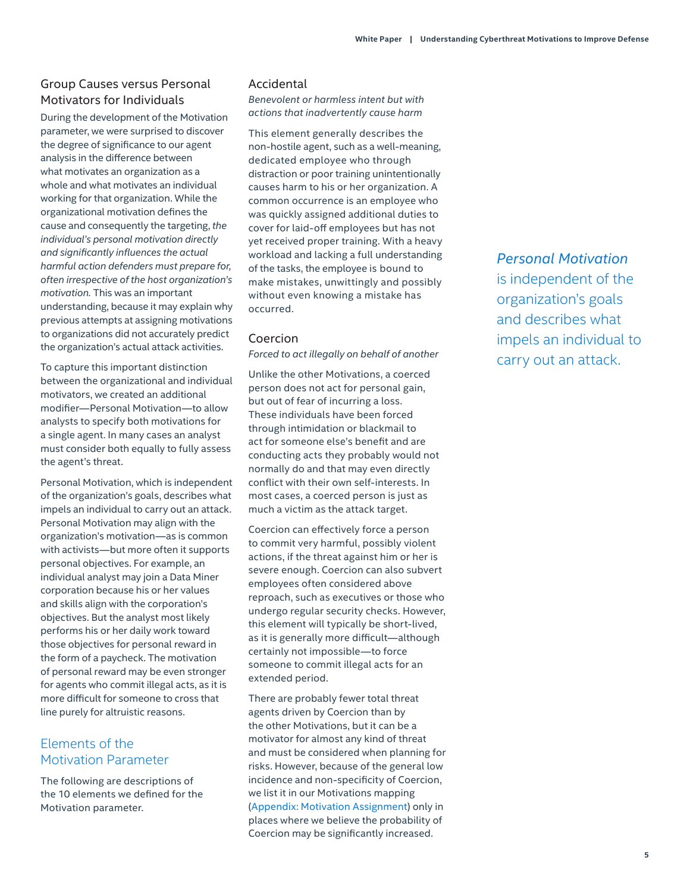### <span id="page-4-2"></span><span id="page-4-0"></span>Group Causes versus Personal Motivators for Individuals

During the development of the Motivation parameter, we were surprised to discover the degree of significance to our agent analysis in the difference between what motivates an organization as a whole and what motivates an individual working for that organization. While the organizational motivation defines the cause and consequently the targeting, *the individual's personal motivation directly and significantly influences the actual harmful action defenders must prepare for, often irrespective of the host organization's motivation.* This was an important understanding, because it may explain why previous attempts at assigning motivations to organizations did not accurately predict the organization's actual attack activities.

To capture this important distinction between the organizational and individual motivators, we created an additional modifier—Personal Motivation—to allow analysts to specify both motivations for a single agent. In many cases an analyst must consider both equally to fully assess the agent's threat.

Personal Motivation, which is independent of the organization's goals, describes what impels an individual to carry out an attack. Personal Motivation may align with the organization's motivation—as is common with activists—but more often it supports personal objectives. For example, an individual analyst may join a Data Miner corporation because his or her values and skills align with the corporation's objectives. But the analyst most likely performs his or her daily work toward those objectives for personal reward in the form of a paycheck. The motivation of personal reward may be even stronger for agents who commit illegal acts, as it is more difficult for someone to cross that line purely for altruistic reasons.

# <span id="page-4-1"></span>Elements of the Motivation Parameter

The following are descriptions of the 10 elements we defined for the Motivation parameter.

#### Accidental

*Benevolent or harmless intent but with actions that inadvertently cause harm*

This element generally describes the non-hostile agent, such as a well-meaning, dedicated employee who through distraction or poor training unintentionally causes harm to his or her organization. A common occurrence is an employee who was quickly assigned additional duties to cover for laid-off employees but has not yet received proper training. With a heavy workload and lacking a full understanding of the tasks, the employee is bound to make mistakes, unwittingly and possibly without even knowing a mistake has occurred.

#### Coercion

*Forced to act illegally on behalf of another*

Unlike the other Motivations, a coerced person does not act for personal gain, but out of fear of incurring a loss. These individuals have been forced through intimidation or blackmail to act for someone else's benefit and are conducting acts they probably would not normally do and that may even directly conflict with their own self-interests. In most cases, a coerced person is just as much a victim as the attack target.

Coercion can effectively force a person to commit very harmful, possibly violent actions, if the threat against him or her is severe enough. Coercion can also subvert employees often considered above reproach, such as executives or those who undergo regular security checks. However, this element will typically be short-lived, as it is generally more difficult—although certainly not impossible—to force someone to commit illegal acts for an extended period.

There are probably fewer total threat agents driven by Coercion than by the other Motivations, but it can be a motivator for almost any kind of threat and must be considered when planning for risks. However, because of the general low incidence and non-specificity of Coercion, we list it in our Motivations mapping [\(Appendix: Motivation Assignment\)](#page-7-1) only in places where we believe the probability of Coercion may be significantly increased.

# *Personal Motivation*

is independent of the organization's goals and describes what impels an individual to carry out an attack.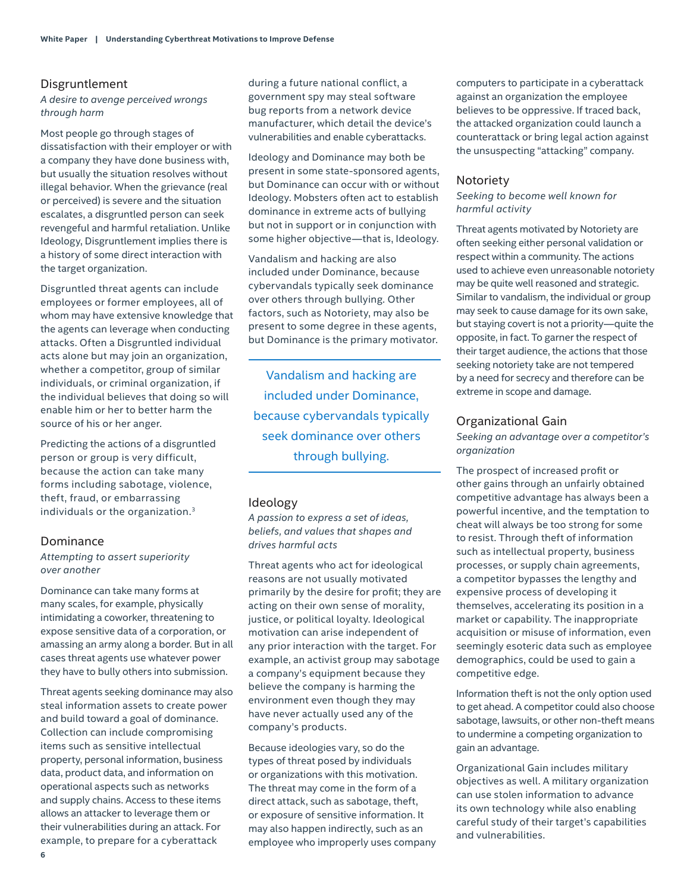#### <span id="page-5-0"></span>Disgruntlement

*A desire to avenge perceived wrongs through harm*

Most people go through stages of dissatisfaction with their employer or with a company they have done business with, but usually the situation resolves without illegal behavior. When the grievance (real or perceived) is severe and the situation escalates, a disgruntled person can seek revengeful and harmful retaliation. Unlike Ideology, Disgruntlement implies there is a history of some direct interaction with the target organization.

Disgruntled threat agents can include employees or former employees, all of whom may have extensive knowledge that the agents can leverage when conducting attacks. Often a Disgruntled individual acts alone but may join an organization, whether a competitor, group of similar individuals, or criminal organization, if the individual believes that doing so will enable him or her to better harm the source of his or her anger.

Predicting the actions of a disgruntled person or group is very difficult, because the action can take many forms including sabotage, violence, theft, fraud, or embarrassing individuals or the organization.[3](#page-8-2)

#### Dominance

#### *Attempting to assert superiority over another*

Dominance can take many forms at many scales, for example, physically intimidating a coworker, threatening to expose sensitive data of a corporation, or amassing an army along a border. But in all cases threat agents use whatever power they have to bully others into submission.

Threat agents seeking dominance may also steal information assets to create power and build toward a goal of dominance. Collection can include compromising items such as sensitive intellectual property, personal information, business data, product data, and information on operational aspects such as networks and supply chains. Access to these items allows an attacker to leverage them or their vulnerabilities during an attack. For example, to prepare for a cyberattack

during a future national conflict, a government spy may steal software bug reports from a network device manufacturer, which detail the device's vulnerabilities and enable cyberattacks.

Ideology and Dominance may both be present in some state-sponsored agents, but Dominance can occur with or without Ideology. Mobsters often act to establish dominance in extreme acts of bullying but not in support or in conjunction with some higher objective—that is, Ideology.

Vandalism and hacking are also included under Dominance, because cybervandals typically seek dominance over others through bullying. Other factors, such as Notoriety, may also be present to some degree in these agents, but Dominance is the primary motivator.

Vandalism and hacking are included under Dominance, because cybervandals typically seek dominance over others through bullying.

#### Ideology

*A passion to express a set of ideas, beliefs, and values that shapes and drives harmful acts*

Threat agents who act for ideological reasons are not usually motivated primarily by the desire for profit; they are acting on their own sense of morality, justice, or political loyalty. Ideological motivation can arise independent of any prior interaction with the target. For example, an activist group may sabotage a company's equipment because they believe the company is harming the environment even though they may have never actually used any of the company's products.

Because ideologies vary, so do the types of threat posed by individuals or organizations with this motivation. The threat may come in the form of a direct attack, such as sabotage, theft, or exposure of sensitive information. It may also happen indirectly, such as an employee who improperly uses company

computers to participate in a cyberattack against an organization the employee believes to be oppressive. If traced back, the attacked organization could launch a counterattack or bring legal action against the unsuspecting "attacking" company.

#### Notoriety

#### *Seeking to become well known for harmful activity*

Threat agents motivated by Notoriety are often seeking either personal validation or respect within a community. The actions used to achieve even unreasonable notoriety may be quite well reasoned and strategic. Similar to vandalism, the individual or group may seek to cause damage for its own sake, but staying covert is not a priority—quite the opposite, in fact. To garner the respect of their target audience, the actions that those seeking notoriety take are not tempered by a need for secrecy and therefore can be extreme in scope and damage.

#### Organizational Gain

*Seeking an advantage over a competitor's organization*

The prospect of increased profit or other gains through an unfairly obtained competitive advantage has always been a powerful incentive, and the temptation to cheat will always be too strong for some to resist. Through theft of information such as intellectual property, business processes, or supply chain agreements, a competitor bypasses the lengthy and expensive process of developing it themselves, accelerating its position in a market or capability. The inappropriate acquisition or misuse of information, even seemingly esoteric data such as employee demographics, could be used to gain a competitive edge.

Information theft is not the only option used to get ahead. A competitor could also choose sabotage, lawsuits, or other non-theft means to undermine a competing organization to gain an advantage.

Organizational Gain includes military objectives as well. A military organization can use stolen information to advance its own technology while also enabling careful study of their target's capabilities and vulnerabilities.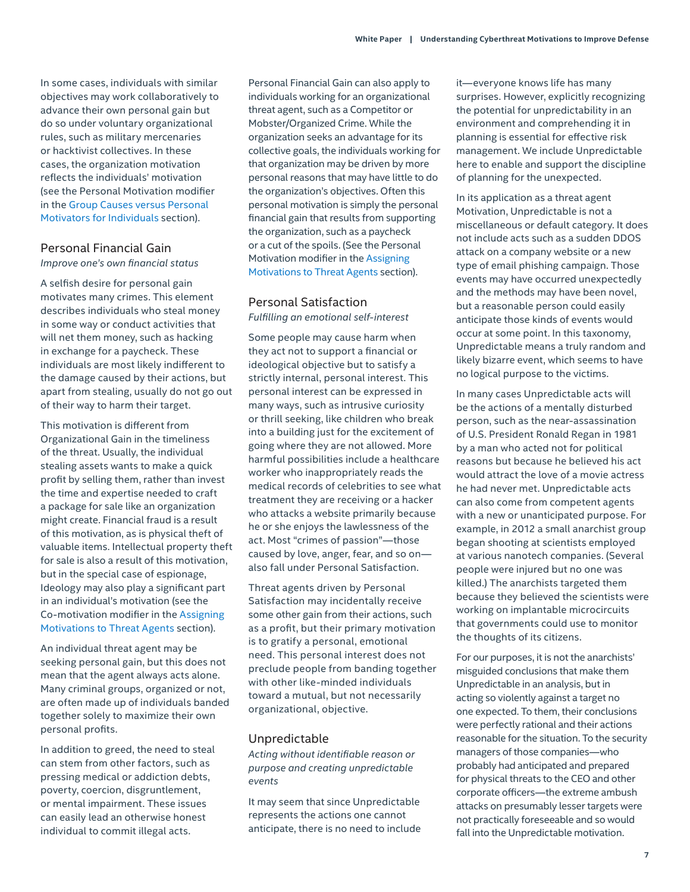<span id="page-6-0"></span>In some cases, individuals with similar objectives may work collaboratively to advance their own personal gain but do so under voluntary organizational rules, such as military mercenaries or hacktivist collectives. In these cases, the organization motivation reflects the individuals' motivation (see the Personal Motivation modifier in the [Group Causes versus Personal](#page-4-2)  Motivators for [Individuals](#page-4-2) section).

#### Personal Financial Gain *Improve one's own financial status*

A selfish desire for personal gain motivates many crimes. This element describes individuals who steal money in some way or conduct activities that will net them money, such as hacking in exchange for a paycheck. These individuals are most likely indifferent to the damage caused by their actions, but apart from stealing, usually do not go out of their way to harm their target.

This motivation is different from Organizational Gain in the timeliness of the threat. Usually, the individual stealing assets wants to make a quick profit by selling them, rather than invest the time and expertise needed to craft a package for sale like an organization might create. Financial fraud is a result of this motivation, as is physical theft of valuable items. Intellectual property theft for sale is also a result of this motivation, but in the special case of espionage, Ideology may also play a significant part in an individual's motivation (see the Co-motivation modifier in the [Assigning](#page-2-1)  [Motivations to Threat](#page-2-1) Agents section).

An individual threat agent may be seeking personal gain, but this does not mean that the agent always acts alone. Many criminal groups, organized or not, are often made up of individuals banded together solely to maximize their own personal profits.

In addition to greed, the need to steal can stem from other factors, such as pressing medical or addiction debts, poverty, coercion, disgruntlement, or mental impairment. These issues can easily lead an otherwise honest individual to commit illegal acts.

Personal Financial Gain can also apply to individuals working for an organizational threat agent, such as a Competitor or Mobster/Organized Crime. While the organization seeks an advantage for its collective goals, the individuals working for that organization may be driven by more personal reasons that may have little to do the organization's objectives. Often this personal motivation is simply the personal financial gain that results from supporting the organization, such as a paycheck or a cut of the spoils. (See the Personal Motivation modifier in the [Assigning](#page-2-1)  [Motivations to Threat](#page-2-1) Agents section).

#### Personal Satisfaction *Fulfilling an emotional self-interest*

Some people may cause harm when they act not to support a financial or ideological objective but to satisfy a strictly internal, personal interest. This personal interest can be expressed in many ways, such as intrusive curiosity or thrill seeking, like children who break into a building just for the excitement of going where they are not allowed. More harmful possibilities include a healthcare worker who inappropriately reads the medical records of celebrities to see what treatment they are receiving or a hacker who attacks a website primarily because he or she enjoys the lawlessness of the act. Most "crimes of passion"—those caused by love, anger, fear, and so on also fall under Personal Satisfaction.

Threat agents driven by Personal Satisfaction may incidentally receive some other gain from their actions, such as a profit, but their primary motivation is to gratify a personal, emotional need. This personal interest does not preclude people from banding together with other like-minded individuals toward a mutual, but not necessarily organizational, objective.

#### Unpredictable

*Acting without identifiable reason or purpose and creating unpredictable events*

It may seem that since Unpredictable represents the actions one cannot anticipate, there is no need to include it—everyone knows life has many surprises. However, explicitly recognizing the potential for unpredictability in an environment and comprehending it in planning is essential for effective risk management. We include Unpredictable here to enable and support the discipline of planning for the unexpected.

In its application as a threat agent Motivation, Unpredictable is not a miscellaneous or default category. It does not include acts such as a sudden DDOS attack on a company website or a new type of email phishing campaign. Those events may have occurred unexpectedly and the methods may have been novel, but a reasonable person could easily anticipate those kinds of events would occur at some point. In this taxonomy, Unpredictable means a truly random and likely bizarre event, which seems to have no logical purpose to the victims.

In many cases Unpredictable acts will be the actions of a mentally disturbed person, such as the near-assassination of U.S. President Ronald Regan in 1981 by a man who acted not for political reasons but because he believed his act would attract the love of a movie actress he had never met. Unpredictable acts can also come from competent agents with a new or unanticipated purpose. For example, in 2012 a small anarchist group began shooting at scientists employed at various nanotech companies. (Several people were injured but no one was killed.) The anarchists targeted them because they believed the scientists were working on implantable microcircuits that governments could use to monitor the thoughts of its citizens.

For our purposes, it is not the anarchists' misguided conclusions that make them Unpredictable in an analysis, but in acting so violently against a target no one expected. To them, their conclusions were perfectly rational and their actions reasonable for the situation. To the security managers of those companies—who probably had anticipated and prepared for physical threats to the CEO and other corporate officers—the extreme ambush attacks on presumably lesser targets were not practically foreseeable and so would fall into the Unpredictable motivation.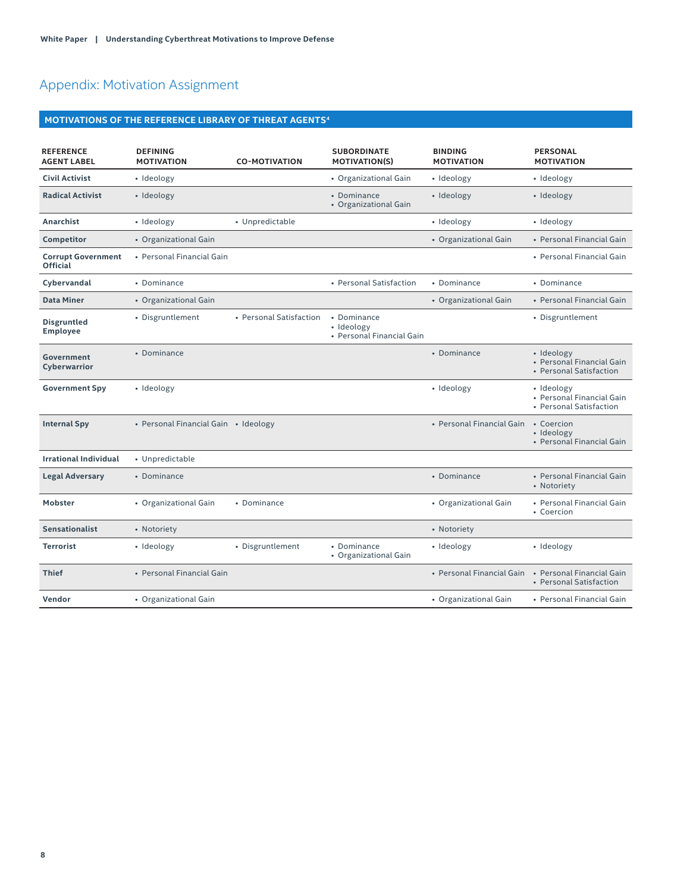# <span id="page-7-1"></span><span id="page-7-0"></span>Appendix: Motivation Assignment

# **MOTIVATIONS OF THE REFERENCE LIBRARY OF THREAT AGENTS[4](#page-8-0)**

| <b>REFERENCE</b><br><b>AGENT LABEL</b>       | <b>DEFINING</b><br><b>MOTIVATION</b> | <b>CO-MOTIVATION</b>    | <b>SUBORDINATE</b><br><b>MOTIVATION(S)</b>             | <b>BINDING</b><br><b>MOTIVATION</b> | <b>PERSONAL</b><br><b>MOTIVATION</b>                               |
|----------------------------------------------|--------------------------------------|-------------------------|--------------------------------------------------------|-------------------------------------|--------------------------------------------------------------------|
| <b>Civil Activist</b>                        | • Ideology                           |                         | • Organizational Gain                                  | · Ideology                          | • Ideology                                                         |
| <b>Radical Activist</b>                      | • Ideology                           |                         | • Dominance<br>• Organizational Gain                   | • Ideology                          | • Ideology                                                         |
| Anarchist                                    | · Ideology                           | • Unpredictable         |                                                        | · Ideology                          | · Ideology                                                         |
| <b>Competitor</b>                            | • Organizational Gain                |                         |                                                        | • Organizational Gain               | • Personal Financial Gain                                          |
| <b>Corrupt Government</b><br><b>Official</b> | • Personal Financial Gain            |                         |                                                        |                                     | • Personal Financial Gain                                          |
| Cybervandal                                  | • Dominance                          |                         | • Personal Satisfaction                                | • Dominance                         | • Dominance                                                        |
| <b>Data Miner</b>                            | • Organizational Gain                |                         |                                                        | • Organizational Gain               | • Personal Financial Gain                                          |
| <b>Disgruntled</b><br>Employee               | • Disgruntlement                     | • Personal Satisfaction | • Dominance<br>• Ideology<br>• Personal Financial Gain |                                     | • Disgruntlement                                                   |
| <b>Government</b><br>Cyberwarrior            | • Dominance                          |                         |                                                        | • Dominance                         | · Ideology<br>• Personal Financial Gain<br>• Personal Satisfaction |
| <b>Government Spy</b>                        | · Ideology                           |                         |                                                        | · Ideology                          | · Ideology<br>• Personal Financial Gain<br>• Personal Satisfaction |
| <b>Internal Spy</b>                          | • Personal Financial Gain • Ideology |                         |                                                        | • Personal Financial Gain           | • Coercion<br>• Ideology<br>• Personal Financial Gain              |
| <b>Irrational Individual</b>                 | • Unpredictable                      |                         |                                                        |                                     |                                                                    |
| <b>Legal Adversary</b>                       | • Dominance                          |                         |                                                        | • Dominance                         | • Personal Financial Gain<br>• Notoriety                           |
| <b>Mobster</b>                               | • Organizational Gain                | • Dominance             |                                                        | • Organizational Gain               | • Personal Financial Gain<br>• Coercion                            |
| <b>Sensationalist</b>                        | • Notoriety                          |                         |                                                        | • Notoriety                         |                                                                    |
| <b>Terrorist</b>                             | · Ideology                           | • Disgruntlement        | • Dominance<br>• Organizational Gain                   | • Ideology                          | · Ideology                                                         |
| <b>Thief</b>                                 | • Personal Financial Gain            |                         |                                                        | • Personal Financial Gain           | • Personal Financial Gain<br>• Personal Satisfaction               |
| <b>Vendor</b>                                | • Organizational Gain                |                         |                                                        | • Organizational Gain               | • Personal Financial Gain                                          |